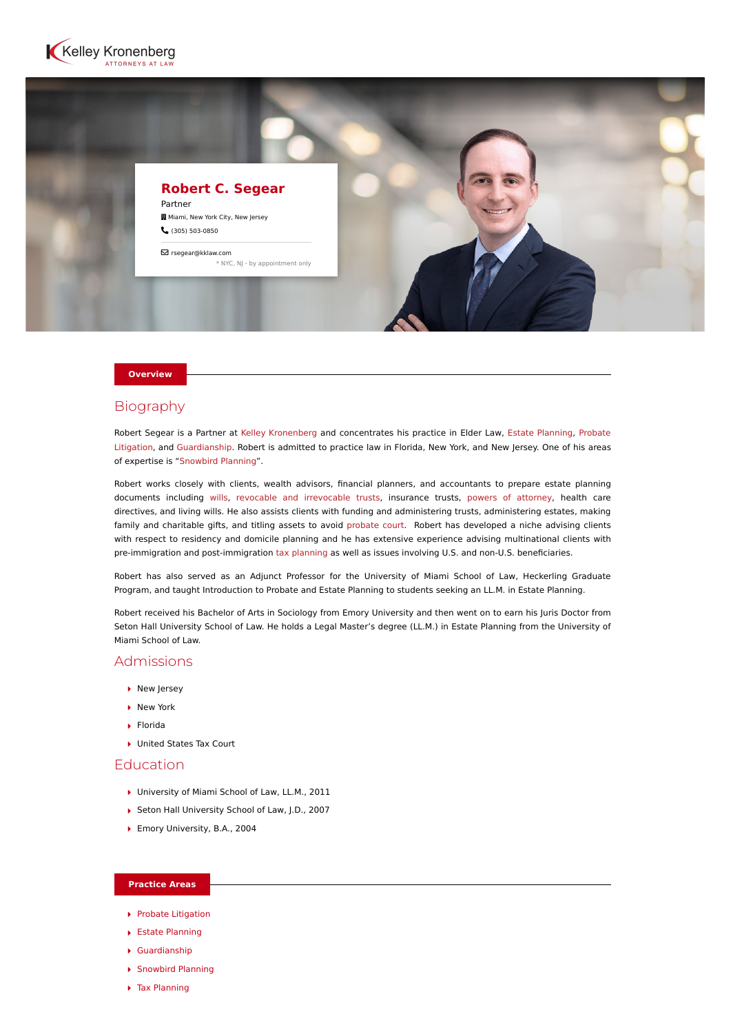



#### **Overview**

# Biography

Robert Segear is a Partner at [Kelley Kronenberg](https://www.kelleykronenberg.com/) and concentrates his practice in Elder Law, [Estate Planning,](https://www.kelleykronenberg.com/our-practices/estate-planning/) Probate [Litigation, and Guardianship. Robert is admitted to practice law in Florida, New York, and New Jersey. One of his areas](https://www.kelleykronenberg.com/our-practices/probate-litigation/) of expertise is ["Snowbird Planning"](https://www.kelleykronenberg.com/our-practices/probate-guardianship-and-estate-trust-planning/estate-planning/snowbirds/).

Robert works closely with clients, wealth advisors, financial planners, and accountants to prepare estate planning documents including [wills,](https://www.kelleykronenberg.com/our-practices/estate-planning/preparation-of-wills/) [revocable and irrevocable trusts,](https://www.kelleykronenberg.com/our-practices/estate-planning/revocable-irrevocable-trusts/) insurance trusts, [powers of attorney,](https://www.kelleykronenberg.com/our-practices/estate-planning/power-of-attorney/) health care directives, and living wills. He also assists clients with funding and administering trusts, administering estates, making family and charitable gifts, and titling assets to avoid [probate court](https://www.kelleykronenberg.com/our-practices/probate-litigation/). Robert has developed a niche advising clients with respect to residency and domicile planning and he has extensive experience advising multinational clients with pre-immigration and post-immigration [tax planning](https://www.kelleykronenberg.com/our-practices/estate-planning/estate-and-gift-tax-planning/) as well as issues involving U.S. and non-U.S. beneficiaries.

Robert has also served as an Adjunct Professor for the University of Miami School of Law, Heckerling Graduate Program, and taught Introduction to Probate and Estate Planning to students seeking an LL.M. in Estate Planning.

Robert received his Bachelor of Arts in Sociology from Emory University and then went on to earn his Juris Doctor from Seton Hall University School of Law. He holds a Legal Master's degree (LL.M.) in Estate Planning from the University of Miami School of Law.

### Admissions

- ▶ New Jersey
- ▶ New York
- Florida
- ▶ United States Tax Court

### Education

- ▶ University of Miami School of Law, LL.M., 2011
- ▶ Seton Hall University School of Law, J.D., 2007
- Emory University, B.A., 2004

#### **Practice Areas**

- **[Probate Litigation](https://www.kelleykronenberg.com/our-practices/probate-litigation/)**
- [Estate Planning](https://www.kelleykronenberg.com/our-practices/estate-planning/)
- [Guardianship](https://www.kelleykronenberg.com/our-practices/guardianship/)
- ▶ [Snowbird Planning](https://www.kelleykronenberg.com/our-practices/probate-guardianship-and-estate-trust-planning/estate-planning/snowbirds/)
- ▶ [Tax Planning](https://www.kelleykronenberg.com/our-practices/estate-planning/estate-and-gift-tax-planning/)